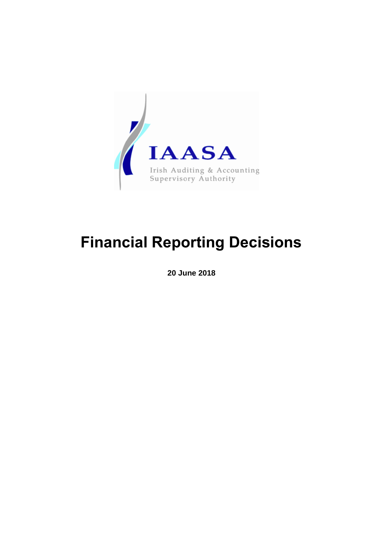

# **Financial Reporting Decisions**

**20 June 2018**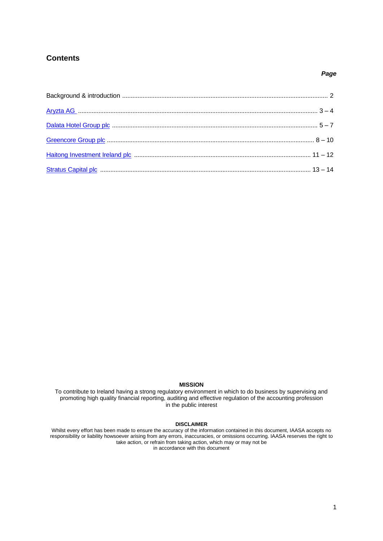# <span id="page-1-0"></span>**Contents**

#### *Page*

#### **MISSION**

To contribute to Ireland having a strong regulatory environment in which to do business by supervising and promoting high quality financial reporting, auditing and effective regulation of the accounting profession in the public interest

#### **DISCLAIMER**

Whilst every effort has been made to ensure the accuracy of the information contained in this document, IAASA accepts no responsibility or liability howsoever arising from any errors, inaccuracies, or omissions occurring. IAASA reserves the right to take action, or refrain from taking action, which may or may not be in accordance with this document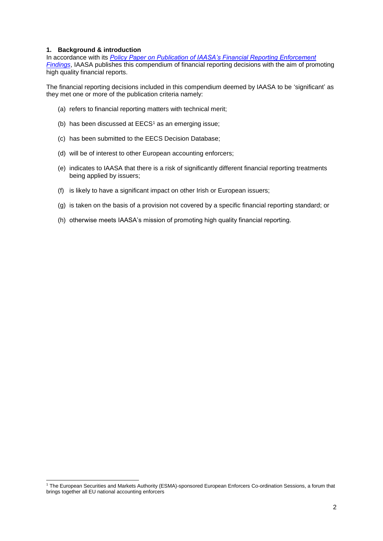#### **1. Background & introduction**

1

In accordance with its *[Policy Paper on Publication of IAASA's Financial Reporting Enforcement](http://www.iaasa.ie/getmedia/2a32b035-ca80-4a46-bbb6-067c5b0e9ea4/Revised-IAASA-Publications-Policy-Paper-final-21jun16.pdf?ext=.pdf)  [Findings](http://www.iaasa.ie/getmedia/2a32b035-ca80-4a46-bbb6-067c5b0e9ea4/Revised-IAASA-Publications-Policy-Paper-final-21jun16.pdf?ext=.pdf)*, IAASA publishes this compendium of financial reporting decisions with the aim of promoting high quality financial reports.

The financial reporting decisions included in this compendium deemed by IAASA to be 'significant' as they met one or more of the publication criteria namely:

- (a) refers to financial reporting matters with technical merit;
- (b) has been discussed at  $EECS<sup>1</sup>$  as an emerging issue;
- (c) has been submitted to the EECS Decision Database;
- (d) will be of interest to other European accounting enforcers;
- (e) indicates to IAASA that there is a risk of significantly different financial reporting treatments being applied by issuers;
- (f) is likely to have a significant impact on other Irish or European issuers;
- (g) is taken on the basis of a provision not covered by a specific financial reporting standard; or
- (h) otherwise meets IAASA's mission of promoting high quality financial reporting.

<sup>1</sup> The European Securities and Markets Authority (ESMA)-sponsored European Enforcers Co-ordination Sessions, a forum that brings together all EU national accounting enforcers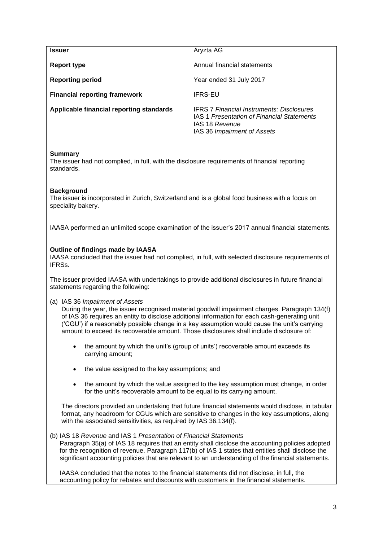<span id="page-3-0"></span>

| <b>Issuer</b>                            | Aryzta AG                                                                                                                                       |
|------------------------------------------|-------------------------------------------------------------------------------------------------------------------------------------------------|
| Report type                              | Annual financial statements                                                                                                                     |
| <b>Reporting period</b>                  | Year ended 31 July 2017                                                                                                                         |
| <b>Financial reporting framework</b>     | <b>IFRS-EU</b>                                                                                                                                  |
| Applicable financial reporting standards | <b>IFRS 7 Financial Instruments: Disclosures</b><br>IAS 1 Presentation of Financial Statements<br>IAS 18 Revenue<br>IAS 36 Impairment of Assets |

## **Summary**

The issuer had not complied, in full, with the disclosure requirements of financial reporting standards.

# **Background**

The issuer is incorporated in Zurich, Switzerland and is a global food business with a focus on speciality bakery.

IAASA performed an unlimited scope examination of the issuer's 2017 annual financial statements.

# **Outline of findings made by IAASA**

IAASA concluded that the issuer had not complied, in full, with selected disclosure requirements of IFRSs.

The issuer provided IAASA with undertakings to provide additional disclosures in future financial statements regarding the following:

(a) IAS 36 *Impairment of Assets*

During the year, the issuer recognised material goodwill impairment charges. Paragraph 134(f) of IAS 36 requires an entity to disclose additional information for each cash-generating unit ('CGU') if a reasonably possible change in a key assumption would cause the unit's carrying amount to exceed its recoverable amount. Those disclosures shall include disclosure of:

- the amount by which the unit's (group of units') recoverable amount exceeds its carrying amount;
- the value assigned to the key assumptions; and
- the amount by which the value assigned to the key assumption must change, in order for the unit's recoverable amount to be equal to its carrying amount.

The directors provided an undertaking that future financial statements would disclose, in tabular format, any headroom for CGUs which are sensitive to changes in the key assumptions, along with the associated sensitivities, as required by IAS 36.134(f).

## (b) IAS 18 *Revenue* and IAS 1 *Presentation of Financial Statements*

Paragraph 35(a) of IAS 18 requires that an entity shall disclose the accounting policies adopted for the recognition of revenue. Paragraph 117(b) of IAS 1 states that entities shall disclose the significant accounting policies that are relevant to an understanding of the financial statements.

IAASA concluded that the notes to the financial statements did not disclose, in full, the accounting policy for rebates and discounts with customers in the financial statements.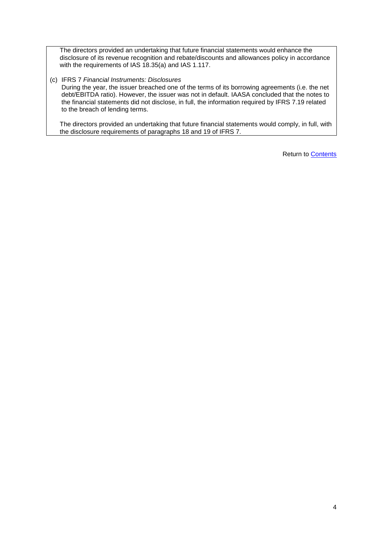The directors provided an undertaking that future financial statements would enhance the disclosure of its revenue recognition and rebate/discounts and allowances policy in accordance with the requirements of IAS 18.35(a) and IAS 1.117.

## (c) IFRS 7 *Financial Instruments: Disclosures*

During the year, the issuer breached one of the terms of its borrowing agreements (i.e. the net debt/EBITDA ratio). However, the issuer was not in default. IAASA concluded that the notes to the financial statements did not disclose, in full, the information required by IFRS 7.19 related to the breach of lending terms.

The directors provided an undertaking that future financial statements would comply, in full, with the disclosure requirements of paragraphs 18 and 19 of IFRS 7.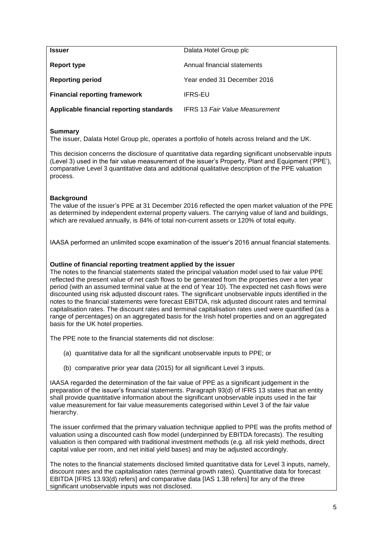<span id="page-5-0"></span>

| <b>Issuer</b>                            | Dalata Hotel Group plc                |
|------------------------------------------|---------------------------------------|
| <b>Report type</b>                       | Annual financial statements           |
| <b>Reporting period</b>                  | Year ended 31 December 2016           |
| <b>Financial reporting framework</b>     | <b>IFRS-EU</b>                        |
| Applicable financial reporting standards | <b>IFRS 13 Fair Value Measurement</b> |

# **Summary**

The issuer, Dalata Hotel Group plc, operates a portfolio of hotels across Ireland and the UK.

This decision concerns the disclosure of quantitative data regarding significant unobservable inputs (Level 3) used in the fair value measurement of the issuer's Property, Plant and Equipment ('PPE'), comparative Level 3 quantitative data and additional qualitative description of the PPE valuation process.

# **Background**

The value of the issuer's PPE at 31 December 2016 reflected the open market valuation of the PPE as determined by independent external property valuers. The carrying value of land and buildings, which are revalued annually, is 84% of total non-current assets or 120% of total equity.

IAASA performed an unlimited scope examination of the issuer's 2016 annual financial statements.

## **Outline of financial reporting treatment applied by the issuer**

The notes to the financial statements stated the principal valuation model used to fair value PPE reflected the present value of net cash flows to be generated from the properties over a ten year period (with an assumed terminal value at the end of Year 10). The expected net cash flows were discounted using risk adjusted discount rates. The significant unobservable inputs identified in the notes to the financial statements were forecast EBITDA, risk adjusted discount rates and terminal capitalisation rates. The discount rates and terminal capitalisation rates used were quantified (as a range of percentages) on an aggregated basis for the Irish hotel properties and on an aggregated basis for the UK hotel properties.

The PPE note to the financial statements did not disclose:

- (a) quantitative data for all the significant unobservable inputs to PPE; or
- (b) comparative prior year data (2015) for all significant Level 3 inputs.

IAASA regarded the determination of the fair value of PPE as a significant judgement in the preparation of the issuer's financial statements. Paragraph 93(d) of IFRS 13 states that an entity shall provide quantitative information about the significant unobservable inputs used in the fair value measurement for fair value measurements categorised within Level 3 of the fair value hierarchy.

The issuer confirmed that the primary valuation technique applied to PPE was the profits method of valuation using a discounted cash flow model (underpinned by EBITDA forecasts). The resulting valuation is then compared with traditional investment methods (e.g. all risk yield methods, direct capital value per room, and net initial yield bases) and may be adjusted accordingly.

The notes to the financial statements disclosed limited quantitative data for Level 3 inputs, namely, discount rates and the capitalisation rates (terminal growth rates). Quantitative data for forecast EBITDA [IFRS 13.93(d) refers] and comparative data [IAS 1.38 refers] for any of the three significant unobservable inputs was not disclosed.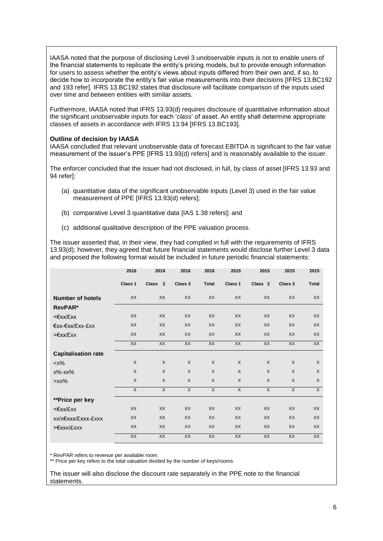IAASA noted that the purpose of disclosing Level 3 unobservable inputs is not to enable users of the financial statements to replicate the entity's pricing models, but to provide enough information for users to assess whether the entity's views about inputs differed from their own and, if so, to decide how to incorporate the entity's fair value measurements into their decisions [IFRS 13.BC192 and 193 refer]. IFRS 13.BC192 states that disclosure will facilitate comparison of the inputs used over time and between entities with similar assets.

Furthermore, IAASA noted that IFRS 13.93(d) requires disclosure of quantitative information about the significant unobservable inputs for each '*class*' of asset. An entity shall determine appropriate classes of assets in accordance with IFRS 13.94 [IFRS 13.BC193].

#### **Outline of decision by IAASA**

IAASA concluded that relevant unobservable data of forecast EBITDA is significant to the fair value measurement of the issuer's PPE [IFRS 13.93(d) refers] and is reasonably available to the issuer.

The enforcer concluded that the issuer had not disclosed, in full, by class of asset [IFRS 13.93 and 94 refer]:

- (a) quantitative data of the significant unobservable inputs (Level 3) used in the fair value measurement of PPE [IFRS 13.93(d) refers];
- (b) comparative Level 3 quantitative data [IAS 1.38 refers]; and
- (c) additional qualitative description of the PPE valuation process.

The issuer asserted that, in their view, they had complied in full with the requirements of IFRS 13.93(d); however, they agreed that future financial statements would disclose further Level 3 data and proposed the following format would be included in future periodic financial statements:

|                            | 2016           | 2016               | 2016           | 2016           | 2015           | 2015               | 2015           | 2015           |
|----------------------------|----------------|--------------------|----------------|----------------|----------------|--------------------|----------------|----------------|
|                            | Class 1        | Class <sub>2</sub> | Class 3        | <b>Total</b>   | Class 1        | Class <sub>2</sub> | Class 3        | <b>Total</b>   |
| <b>Number of hotels</b>    | XX             | XX                 | <b>XX</b>      | XX             | XX             | <b>XX</b>          | XX             | XX             |
| RevPAR*                    |                |                    |                |                |                |                    |                |                |
| <€xx/£xx                   | <b>XX</b>      | <b>XX</b>          | <b>XX</b>      | XX             | <b>XX</b>      | <b>XX</b>          | <b>XX</b>      | <b>XX</b>      |
| €xx-€xx/£xx-£xx            | XX             | <b>XX</b>          | <b>XX</b>      | <b>XX</b>      | <b>XX</b>      | <b>XX</b>          | <b>XX</b>      | XX             |
| >€xx/£xx                   | <b>XX</b>      | <b>XX</b>          | <b>XX</b>      | <b>XX</b>      | <b>XX</b>      | <b>XX</b>          | <b>XX</b>      | <b>XX</b>      |
|                            | XX             | <b>XX</b>          | XX             | XX             | XX             | XX                 | XX             | XX             |
| <b>Capitalisation rate</b> |                |                    |                |                |                |                    |                |                |
| $< x\%$                    | X              | $\sf X$            | $\times$       | $\mathsf{X}$   | X              | $\mathsf{X}$       | $\sf X$        | $\times$       |
| $x\%$ - $xx\%$             | X              | X                  | $\mathsf{X}$   | $\mathsf{X}$   | X              | X                  | $\times$       | $\sf X$        |
| $>$ $xx%$                  | $\sf X$        | X                  | $\times$       | $\sf X$        | X              | X                  | $\times$       | $\sf X$        |
|                            | $\overline{X}$ | $\overline{X}$     | $\overline{X}$ | $\overline{X}$ | $\overline{X}$ | $\overline{X}$     | $\overline{X}$ | $\overline{X}$ |
| **Price per key            |                |                    |                |                |                |                    |                |                |
| <€xx/£xx                   | <b>XX</b>      | <b>XX</b>          | <b>XX</b>      | <b>XX</b>      | <b>XX</b>      | <b>XX</b>          | XX             | <b>XX</b>      |
| xx/x€xxx/£xxx-£xxx         | <b>XX</b>      | <b>XX</b>          | <b>XX</b>      | <b>XX</b>      | XX             | XX                 | <b>XX</b>      | <b>XX</b>      |
| >€xxx/£xxx                 | <b>XX</b>      | <b>XX</b>          | <b>XX</b>      | <b>XX</b>      | <b>XX</b>      | <b>XX</b>          | <b>XX</b>      | <b>XX</b>      |
|                            | <b>XX</b>      | <b>XX</b>          | <b>XX</b>      | <b>XX</b>      | <b>XX</b>      | <b>XX</b>          | XX             | <b>XX</b>      |

\* RevPAR refers to revenue per available room.

\*\* Price per key refers to the total valuation divided by the number of keys/rooms.

The issuer will also disclose the discount rate separately in the PPE note to the financial statements.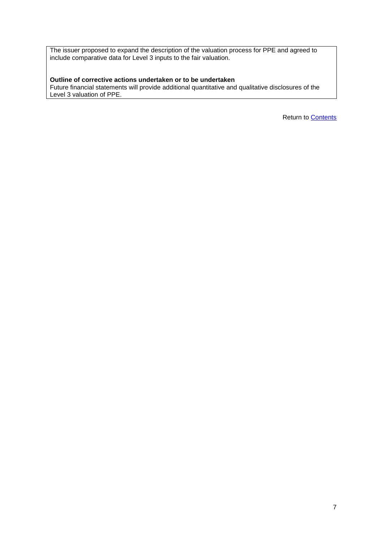The issuer proposed to expand the description of the valuation process for PPE and agreed to include comparative data for Level 3 inputs to the fair valuation.

# **Outline of corrective actions undertaken or to be undertaken**

Future financial statements will provide additional quantitative and qualitative disclosures of the Level 3 valuation of PPE.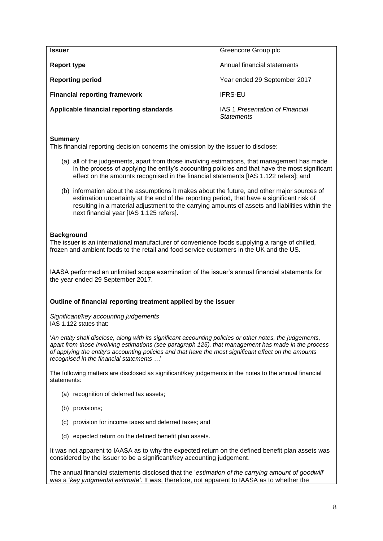<span id="page-8-0"></span>**Issuer** Greencore Group plc **Report type Annual financial statements Annual financial statements Reporting period** Theorem 2017 **Year ended 29 September 2017 Financial reporting framework IFRS-EU Applicable financial reporting standards** IAS 1 *Presentation of Financial Statements*

## **Summary**

This financial reporting decision concerns the omission by the issuer to disclose:

- (a) all of the judgements, apart from those involving estimations, that management has made in the process of applying the entity's accounting policies and that have the most significant effect on the amounts recognised in the financial statements [IAS 1.122 refers]; and
- (b) information about the assumptions it makes about the future, and other major sources of estimation uncertainty at the end of the reporting period, that have a significant risk of resulting in a material adjustment to the carrying amounts of assets and liabilities within the next financial year [IAS 1.125 refers].

# **Background**

The issuer is an international manufacturer of convenience foods supplying a range of chilled, frozen and ambient foods to the retail and food service customers in the UK and the US.

IAASA performed an unlimited scope examination of the issuer's annual financial statements for the year ended 29 September 2017.

## **Outline of financial reporting treatment applied by the issuer**

*Significant/key accounting judgements*  IAS 1.122 states that:

'*An entity shall disclose, along with its significant accounting policies or other notes, the judgements, apart from those involving estimations (see [paragraph 125\)](https://www.charteredaccountants.ie/chariot/text/print/ias01.html#ias01_pr125), that management has made in the process of applying the entity's accounting policies and that have the most significant effect on the amounts recognised in the financial statements …*'

The following matters are disclosed as significant/key judgements in the notes to the annual financial statements:

- (a) recognition of deferred tax assets;
- (b) provisions;
- (c) provision for income taxes and deferred taxes; and
- (d) expected return on the defined benefit plan assets.

It was not apparent to IAASA as to why the expected return on the defined benefit plan assets was considered by the issuer to be a significant/key accounting judgement.

The annual financial statements disclosed that the '*estimation of the carrying amount of goodwill*' was a '*key judgmental estimate'.* It was, therefore, not apparent to IAASA as to whether the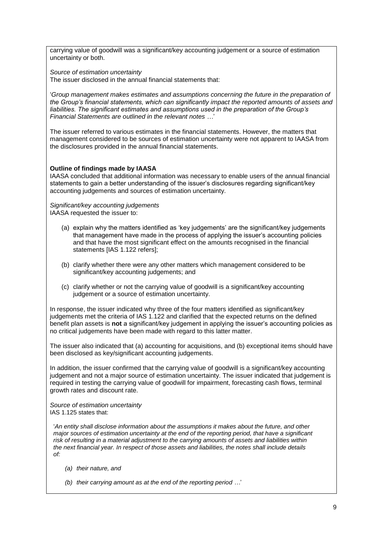carrying value of goodwill was a significant/key accounting judgement or a source of estimation uncertainty or both.

*Source of estimation uncertainty*

The issuer disclosed in the annual financial statements that:

'*Group management makes estimates and assumptions concerning the future in the preparation of the Group's financial statements, which can significantly impact the reported amounts of assets and liabilities. The significant estimates and assumptions used in the preparation of the Group's Financial Statements are outlined in the relevant notes …*'

The issuer referred to various estimates in the financial statements. However, the matters that management considered to be sources of estimation uncertainty were not apparent to IAASA from the disclosures provided in the annual financial statements.

## **Outline of findings made by IAASA**

IAASA concluded that additional information was necessary to enable users of the annual financial statements to gain a better understanding of the issuer's disclosures regarding significant/key accounting judgements and sources of estimation uncertainty.

#### *Significant/key accounting judgements*  IAASA requested the issuer to:

- (a) explain why the matters identified as 'key judgements' are the significant/key judgements that management have made in the process of applying the issuer's accounting policies and that have the most significant effect on the amounts recognised in the financial statements [IAS 1.122 refers];
- (b) clarify whether there were any other matters which management considered to be significant/key accounting judgements; and
- (c) clarify whether or not the carrying value of goodwill is a significant/key accounting judgement or a source of estimation uncertainty.

In response, the issuer indicated why three of the four matters identified as significant/key judgements met the criteria of IAS 1.122 and clarified that the expected returns on the defined benefit plan assets is **not** a significant/key judgement in applying the issuer's accounting policies as no critical judgements have been made with regard to this latter matter.

The issuer also indicated that (a) accounting for acquisitions, and (b) exceptional items should have been disclosed as key/significant accounting judgements.

In addition, the issuer confirmed that the carrying value of goodwill is a significant/key accounting judgement and not a major source of estimation uncertainty. The issuer indicated that judgement is required in testing the carrying value of goodwill for impairment, forecasting cash flows, terminal growth rates and discount rate.

*Source of estimation uncertainty* IAS 1.125 states that:

'*An entity shall disclose information about the assumptions it makes about the future, and other major sources of estimation uncertainty at the end of the reporting period, that have a significant risk of resulting in a material adjustment to the carrying amounts of assets and liabilities within the next financial year. In respect of those assets and liabilities, the notes shall include details of:*

- *(a) their nature, and*
- *(b) their carrying amount as at the end of the reporting period …*'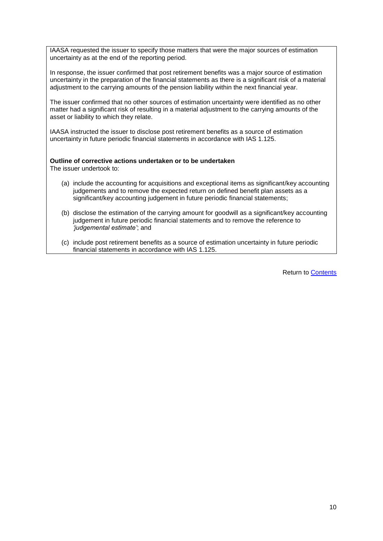IAASA requested the issuer to specify those matters that were the major sources of estimation uncertainty as at the end of the reporting period.

In response, the issuer confirmed that post retirement benefits was a major source of estimation uncertainty in the preparation of the financial statements as there is a significant risk of a material adjustment to the carrying amounts of the pension liability within the next financial year.

The issuer confirmed that no other sources of estimation uncertainty were identified as no other matter had a significant risk of resulting in a material adjustment to the carrying amounts of the asset or liability to which they relate.

IAASA instructed the issuer to disclose post retirement benefits as a source of estimation uncertainty in future periodic financial statements in accordance with IAS 1.125.

## **Outline of corrective actions undertaken or to be undertaken**

The issuer undertook to:

- (a) include the accounting for acquisitions and exceptional items as significant/key accounting judgements and to remove the expected return on defined benefit plan assets as a significant/key accounting judgement in future periodic financial statements;
- (b) disclose the estimation of the carrying amount for goodwill as a significant/key accounting judgement in future periodic financial statements and to remove the reference to *'judgemental estimate'*; and
- (c) include post retirement benefits as a source of estimation uncertainty in future periodic financial statements in accordance with IAS 1.125.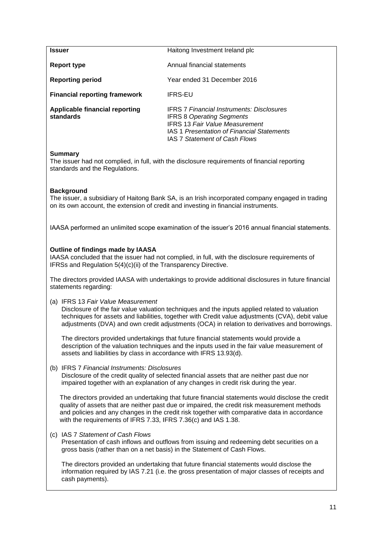<span id="page-11-0"></span>

| <b>Issuer</b>                               | Haitong Investment Ireland plc                                                                                                                                                                                      |
|---------------------------------------------|---------------------------------------------------------------------------------------------------------------------------------------------------------------------------------------------------------------------|
| Report type                                 | Annual financial statements                                                                                                                                                                                         |
| <b>Reporting period</b>                     | Year ended 31 December 2016                                                                                                                                                                                         |
| <b>Financial reporting framework</b>        | IFRS-EU                                                                                                                                                                                                             |
| Applicable financial reporting<br>standards | <b>IFRS 7 Financial Instruments: Disclosures</b><br><b>IFRS 8 Operating Segments</b><br><b>IFRS 13 Fair Value Measurement</b><br><b>IAS 1 Presentation of Financial Statements</b><br>IAS 7 Statement of Cash Flows |

#### **Summary**

The issuer had not complied, in full, with the disclosure requirements of financial reporting standards and the Regulations.

## **Background**

The issuer, a subsidiary of Haitong Bank SA, is an Irish incorporated company engaged in trading on its own account, the extension of credit and investing in financial instruments.

IAASA performed an unlimited scope examination of the issuer's 2016 annual financial statements.

#### **Outline of findings made by IAASA**

IAASA concluded that the issuer had not complied, in full, with the disclosure requirements of IFRSs and Regulation 5(4)(c)(ii) of the Transparency Directive.

The directors provided IAASA with undertakings to provide additional disclosures in future financial statements regarding:

(a) IFRS 13 *Fair Value Measurement*

Disclosure of the fair value valuation techniques and the inputs applied related to valuation techniques for assets and liabilities, together with Credit value adjustments (CVA), debit value adjustments (DVA) and own credit adjustments (OCA) in relation to derivatives and borrowings.

The directors provided undertakings that future financial statements would provide a description of the valuation techniques and the inputs used in the fair value measurement of assets and liabilities by class in accordance with IFRS 13.93(d).

(b) IFRS 7 *Financial Instruments: Disclosures*

Disclosure of the credit quality of selected financial assets that are neither past due nor impaired together with an explanation of any changes in credit risk during the year.

The directors provided an undertaking that future financial statements would disclose the credit quality of assets that are neither past due or impaired, the credit risk measurement methods and policies and any changes in the credit risk together with comparative data in accordance with the requirements of IFRS 7.33, IFRS 7.36(c) and IAS 1.38.

(c) IAS 7 *Statement of Cash Flows*

Presentation of cash inflows and outflows from issuing and redeeming debt securities on a gross basis (rather than on a net basis) in the Statement of Cash Flows.

The directors provided an undertaking that future financial statements would disclose the information required by IAS 7.21 (i.e. the gross presentation of major classes of receipts and cash payments).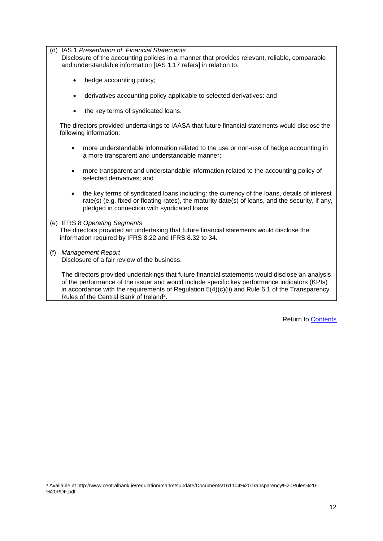(d) IAS 1 *Presentation of Financial Statements*

Disclosure of the accounting policies in a manner that provides relevant, reliable, comparable and understandable information [IAS 1.17 refers] in relation to:

- hedge accounting policy;
- derivatives accounting policy applicable to selected derivatives: and
- the key terms of syndicated loans.

The directors provided undertakings to IAASA that future financial statements would disclose the following information:

- more understandable information related to the use or non-use of hedge accounting in a more transparent and understandable manner;
- more transparent and understandable information related to the accounting policy of selected derivatives; and
- the key terms of syndicated loans including: the currency of the loans, details of interest rate(s) (e.g. fixed or floating rates), the maturity date(s) of loans, and the security, if any, pledged in connection with syndicated loans.
- (e) IFRS 8 *Operating Segments* The directors provided an undertaking that future financial statements would disclose the information required by IFRS 8.22 and IFRS 8.32 to 34.
- (f) *Management Report* Disclosure of a fair review of the business.

-

The directors provided undertakings that future financial statements would disclose an analysis of the performance of the issuer and would include specific key performance indicators (KPIs) in accordance with the requirements of Regulation 5(4)(c)(ii) and Rule 6.1 of the Transparency Rules of the Central Bank of Ireland<sup>2</sup> .

<sup>2</sup> Available at http://www.centralbank.ie/regulation/marketsupdate/Documents/161104%20Transparency%20Rules%20- %20PDF.pdf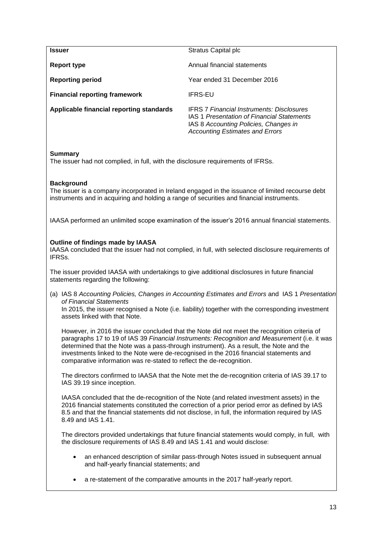<span id="page-13-0"></span>

| <b>Issuer</b>                                                                                                                                                                                                                                                                                                                                                                                                                                             | Stratus Capital plc                                                                                                                                                               |  |  |
|-----------------------------------------------------------------------------------------------------------------------------------------------------------------------------------------------------------------------------------------------------------------------------------------------------------------------------------------------------------------------------------------------------------------------------------------------------------|-----------------------------------------------------------------------------------------------------------------------------------------------------------------------------------|--|--|
| <b>Report type</b>                                                                                                                                                                                                                                                                                                                                                                                                                                        | Annual financial statements                                                                                                                                                       |  |  |
| <b>Reporting period</b>                                                                                                                                                                                                                                                                                                                                                                                                                                   | Year ended 31 December 2016                                                                                                                                                       |  |  |
| <b>Financial reporting framework</b>                                                                                                                                                                                                                                                                                                                                                                                                                      | <b>IFRS-EU</b>                                                                                                                                                                    |  |  |
| Applicable financial reporting standards                                                                                                                                                                                                                                                                                                                                                                                                                  | <b>IFRS 7 Financial Instruments: Disclosures</b><br>IAS 1 Presentation of Financial Statements<br>IAS 8 Accounting Policies, Changes in<br><b>Accounting Estimates and Errors</b> |  |  |
| <b>Summary</b><br>The issuer had not complied, in full, with the disclosure requirements of IFRSs.                                                                                                                                                                                                                                                                                                                                                        |                                                                                                                                                                                   |  |  |
| <b>Background</b><br>The issuer is a company incorporated in Ireland engaged in the issuance of limited recourse debt<br>instruments and in acquiring and holding a range of securities and financial instruments.                                                                                                                                                                                                                                        |                                                                                                                                                                                   |  |  |
| IAASA performed an unlimited scope examination of the issuer's 2016 annual financial statements.                                                                                                                                                                                                                                                                                                                                                          |                                                                                                                                                                                   |  |  |
| <b>Outline of findings made by IAASA</b><br>IAASA concluded that the issuer had not complied, in full, with selected disclosure requirements of<br>IFRSs.                                                                                                                                                                                                                                                                                                 |                                                                                                                                                                                   |  |  |
| The issuer provided IAASA with undertakings to give additional disclosures in future financial<br>statements regarding the following:                                                                                                                                                                                                                                                                                                                     |                                                                                                                                                                                   |  |  |
| (a) IAS 8 Accounting Policies, Changes in Accounting Estimates and Errors and IAS 1 Presentation<br>of Financial Statements                                                                                                                                                                                                                                                                                                                               |                                                                                                                                                                                   |  |  |
| In 2015, the issuer recognised a Note (i.e. liability) together with the corresponding investment<br>assets linked with that Note.                                                                                                                                                                                                                                                                                                                        |                                                                                                                                                                                   |  |  |
| However, in 2016 the issuer concluded that the Note did not meet the recognition criteria of<br>paragraphs 17 to 19 of IAS 39 Financial Instruments: Recognition and Measurement (i.e. it was<br>determined that the Note was a pass-through instrument). As a result, the Note and the<br>investments linked to the Note were de-recognised in the 2016 financial statements and<br>comparative information was re-stated to reflect the de-recognition. |                                                                                                                                                                                   |  |  |
| The directors confirmed to IAASA that the Note met the de-recognition criteria of IAS 39.17 to<br>IAS 39.19 since inception.                                                                                                                                                                                                                                                                                                                              |                                                                                                                                                                                   |  |  |
| IAASA concluded that the de-recognition of the Note (and related investment assets) in the<br>2016 financial statements constituted the correction of a prior period error as defined by IAS<br>8.5 and that the financial statements did not disclose, in full, the information required by IAS<br>8.49 and IAS 1.41.                                                                                                                                    |                                                                                                                                                                                   |  |  |
| the disclosure requirements of IAS 8.49 and IAS 1.41 and would disclose:                                                                                                                                                                                                                                                                                                                                                                                  | The directors provided undertakings that future financial statements would comply, in full, with                                                                                  |  |  |
| $\bullet$<br>and half-yearly financial statements; and                                                                                                                                                                                                                                                                                                                                                                                                    | an enhanced description of similar pass-through Notes issued in subsequent annual                                                                                                 |  |  |
| ٠                                                                                                                                                                                                                                                                                                                                                                                                                                                         | a re-statement of the comparative amounts in the 2017 half-yearly report.                                                                                                         |  |  |